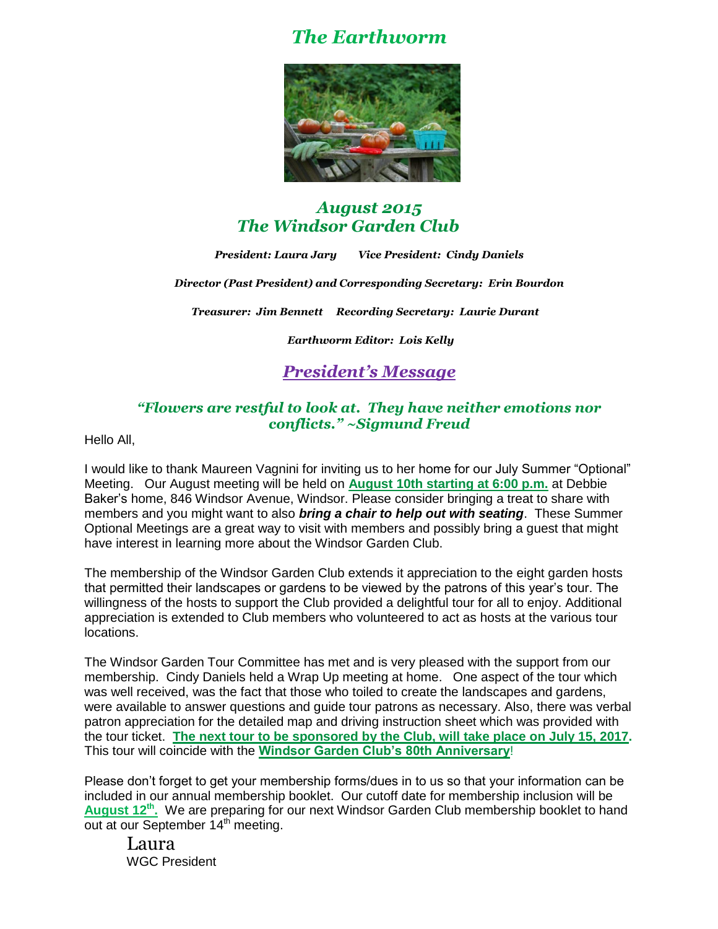# *The Earthworm*



## *August 2015 The Windsor Garden Club*

*President: Laura Jary Vice President: Cindy Daniels*

*Director (Past President) and Corresponding Secretary: Erin Bourdon* 

*Treasurer: Jim Bennett Recording Secretary: Laurie Durant* 

*Earthworm Editor: Lois Kelly*

# *President's Message*

### *"Flowers are restful to look at. They have neither emotions nor conflicts." ~Sigmund Freud*

Hello All,

I would like to thank Maureen Vagnini for inviting us to her home for our July Summer "Optional" Meeting. Our August meeting will be held on **August 10th starting at 6:00 p.m.** at Debbie Baker's home, 846 Windsor Avenue, Windsor. Please consider bringing a treat to share with members and you might want to also *bring a chair to help out with seating*. These Summer Optional Meetings are a great way to visit with members and possibly bring a guest that might have interest in learning more about the Windsor Garden Club.

The membership of the Windsor Garden Club extends it appreciation to the eight garden hosts that permitted their landscapes or gardens to be viewed by the patrons of this year's tour. The willingness of the hosts to support the Club provided a delightful tour for all to enjoy. Additional appreciation is extended to Club members who volunteered to act as hosts at the various tour locations.

The Windsor Garden Tour Committee has met and is very pleased with the support from our membership. Cindy Daniels held a Wrap Up meeting at home. One aspect of the tour which was well received, was the fact that those who toiled to create the landscapes and gardens, were available to answer questions and guide tour patrons as necessary. Also, there was verbal patron appreciation for the detailed map and driving instruction sheet which was provided with the tour ticket. **The next tour to be sponsored by the Club, will take place on July 15, 2017.** This tour will coincide with the **Windsor Garden Club's 80th Anniversary**!

Please don't forget to get your membership forms/dues in to us so that your information can be included in our annual membership booklet. Our cutoff date for membership inclusion will be August 12<sup>th</sup>. We are preparing for our next Windsor Garden Club membership booklet to hand out at our September 14<sup>th</sup> meeting.

Laura WGC President